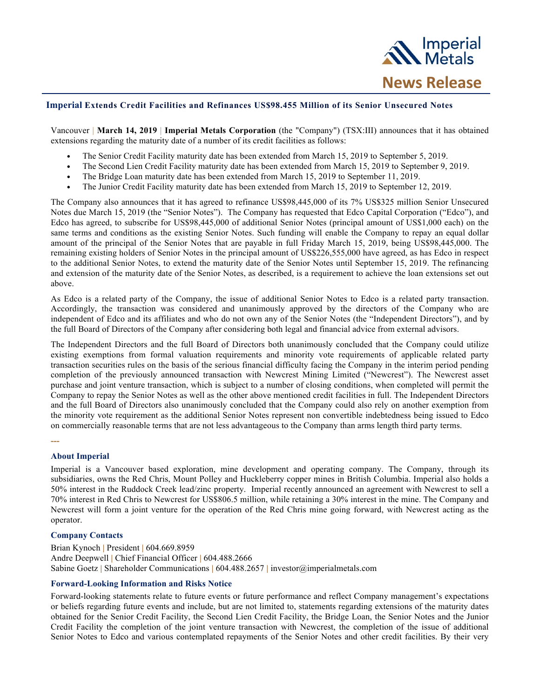

## **Imperial Extends Credit Facilities and Refinances US\$98.455 Million of its Senior Unsecured Notes**

Vancouver | **March 14, 2019** | **Imperial Metals Corporation** (the "Company") (TSX:III) announces that it has obtained extensions regarding the maturity date of a number of its credit facilities as follows:

- The Senior Credit Facility maturity date has been extended from March 15, 2019 to September 5, 2019.
- The Second Lien Credit Facility maturity date has been extended from March 15, 2019 to September 9, 2019.
- The Bridge Loan maturity date has been extended from March 15, 2019 to September 11, 2019.<br>• The Junior Credit Facility maturity date has been extended from March 15, 2019 to September 1
- The Junior Credit Facility maturity date has been extended from March 15, 2019 to September 12, 2019.

The Company also announces that it has agreed to refinance US\$98,445,000 of its 7% US\$325 million Senior Unsecured Notes due March 15, 2019 (the "Senior Notes"). The Company has requested that Edco Capital Corporation ("Edco"), and Edco has agreed, to subscribe for US\$98,445,000 of additional Senior Notes (principal amount of US\$1,000 each) on the same terms and conditions as the existing Senior Notes. Such funding will enable the Company to repay an equal dollar amount of the principal of the Senior Notes that are payable in full Friday March 15, 2019, being US\$98,445,000. The remaining existing holders of Senior Notes in the principal amount of US\$226,555,000 have agreed, as has Edco in respect to the additional Senior Notes, to extend the maturity date of the Senior Notes until September 15, 2019. The refinancing and extension of the maturity date of the Senior Notes, as described, is a requirement to achieve the loan extensions set out above.

As Edco is a related party of the Company, the issue of additional Senior Notes to Edco is a related party transaction. Accordingly, the transaction was considered and unanimously approved by the directors of the Company who are independent of Edco and its affiliates and who do not own any of the Senior Notes (the "Independent Directors"), and by the full Board of Directors of the Company after considering both legal and financial advice from external advisors.

The Independent Directors and the full Board of Directors both unanimously concluded that the Company could utilize existing exemptions from formal valuation requirements and minority vote requirements of applicable related party transaction securities rules on the basis of the serious financial difficulty facing the Company in the interim period pending completion of the previously announced transaction with Newcrest Mining Limited ("Newcrest"). The Newcrest asset purchase and joint venture transaction, which is subject to a number of closing conditions, when completed will permit the Company to repay the Senior Notes as well as the other above mentioned credit facilities in full. The Independent Directors and the full Board of Directors also unanimously concluded that the Company could also rely on another exemption from the minority vote requirement as the additional Senior Notes represent non convertible indebtedness being issued to Edco on commercially reasonable terms that are not less advantageous to the Company than arms length third party terms.

**---**

## **About Imperial**

Imperial is a Vancouver based exploration, mine development and operating company. The Company, through its subsidiaries, owns the Red Chris, Mount Polley and Huckleberry copper mines in British Columbia. Imperial also holds a 50% interest in the Ruddock Creek lead/zinc property. Imperial recently announced an agreement with Newcrest to sell a 70% interest in Red Chris to Newcrest for US\$806.5 million, while retaining a 30% interest in the mine. The Company and Newcrest will form a joint venture for the operation of the Red Chris mine going forward, with Newcrest acting as the operator.

## **Company Contacts**

Brian Kynoch **|** President **|** 604.669.8959 Andre Deepwell **|** Chief Financial Officer **|** 604.488.2666 Sabine Goetz **|** Shareholder Communications **|** 604.488.2657 **|** investor@imperialmetals.com

## **Forward-Looking Information and Risks Notice**

Forward-looking statements relate to future events or future performance and reflect Company management's expectations or beliefs regarding future events and include, but are not limited to, statements regarding extensions of the maturity dates obtained for the Senior Credit Facility, the Second Lien Credit Facility, the Bridge Loan, the Senior Notes and the Junior Credit Facility the completion of the joint venture transaction with Newcrest, the completion of the issue of additional Senior Notes to Edco and various contemplated repayments of the Senior Notes and other credit facilities. By their very